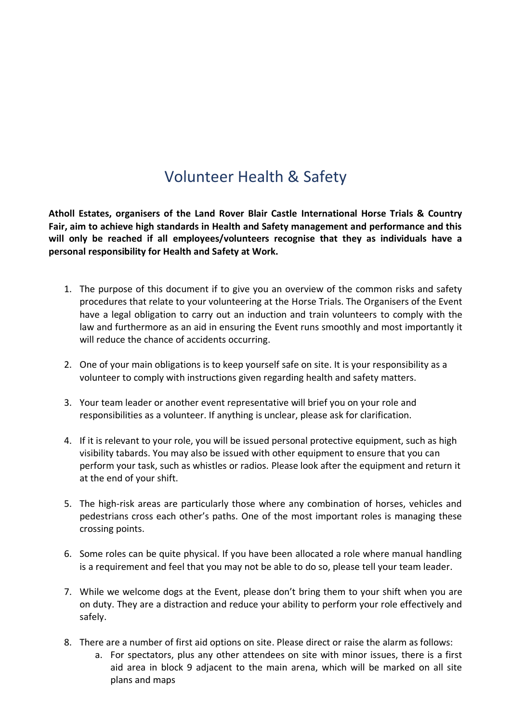## Volunteer Health & Safety

**Atholl Estates, organisers of the Land Rover Blair Castle International Horse Trials & Country Fair, aim to achieve high standards in Health and Safety management and performance and this will only be reached if all employees/volunteers recognise that they as individuals have a personal responsibility for Health and Safety at Work.**

- 1. The purpose of this document if to give you an overview of the common risks and safety procedures that relate to your volunteering at the Horse Trials. The Organisers of the Event have a legal obligation to carry out an induction and train volunteers to comply with the law and furthermore as an aid in ensuring the Event runs smoothly and most importantly it will reduce the chance of accidents occurring.
- 2. One of your main obligations is to keep yourself safe on site. It is your responsibility as a volunteer to comply with instructions given regarding health and safety matters.
- 3. Your team leader or another event representative will brief you on your role and responsibilities as a volunteer. If anything is unclear, please ask for clarification.
- 4. If it is relevant to your role, you will be issued personal protective equipment, such as high visibility tabards. You may also be issued with other equipment to ensure that you can perform your task, such as whistles or radios. Please look after the equipment and return it at the end of your shift.
- 5. The high-risk areas are particularly those where any combination of horses, vehicles and pedestrians cross each other's paths. One of the most important roles is managing these crossing points.
- 6. Some roles can be quite physical. If you have been allocated a role where manual handling is a requirement and feel that you may not be able to do so, please tell your team leader.
- 7. While we welcome dogs at the Event, please don't bring them to your shift when you are on duty. They are a distraction and reduce your ability to perform your role effectively and safely.
- 8. There are a number of first aid options on site. Please direct or raise the alarm as follows:
	- a. For spectators, plus any other attendees on site with minor issues, there is a first aid area in block 9 adjacent to the main arena, which will be marked on all site plans and maps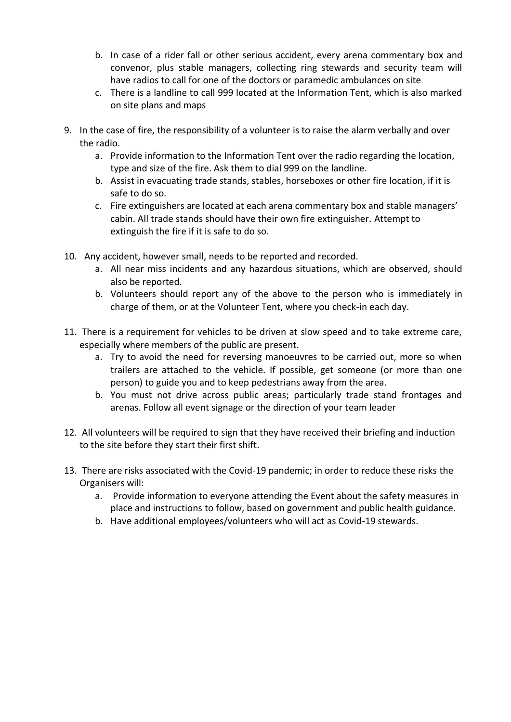- b. In case of a rider fall or other serious accident, every arena commentary box and convenor, plus stable managers, collecting ring stewards and security team will have radios to call for one of the doctors or paramedic ambulances on site
- c. There is a landline to call 999 located at the Information Tent, which is also marked on site plans and maps
- 9. In the case of fire, the responsibility of a volunteer is to raise the alarm verbally and over the radio.
	- a. Provide information to the Information Tent over the radio regarding the location, type and size of the fire. Ask them to dial 999 on the landline.
	- b. Assist in evacuating trade stands, stables, horseboxes or other fire location, if it is safe to do so.
	- c. Fire extinguishers are located at each arena commentary box and stable managers' cabin. All trade stands should have their own fire extinguisher. Attempt to extinguish the fire if it is safe to do so.
- 10. Any accident, however small, needs to be reported and recorded.
	- a. All near miss incidents and any hazardous situations, which are observed, should also be reported.
	- b. Volunteers should report any of the above to the person who is immediately in charge of them, or at the Volunteer Tent, where you check-in each day.
- 11. There is a requirement for vehicles to be driven at slow speed and to take extreme care, especially where members of the public are present.
	- a. Try to avoid the need for reversing manoeuvres to be carried out, more so when trailers are attached to the vehicle. If possible, get someone (or more than one person) to guide you and to keep pedestrians away from the area.
	- b. You must not drive across public areas; particularly trade stand frontages and arenas. Follow all event signage or the direction of your team leader
- 12. All volunteers will be required to sign that they have received their briefing and induction to the site before they start their first shift.
- 13. There are risks associated with the Covid-19 pandemic; in order to reduce these risks the Organisers will:
	- a. Provide information to everyone attending the Event about the safety measures in place and instructions to follow, based on government and public health guidance.
	- b. Have additional employees/volunteers who will act as Covid-19 stewards.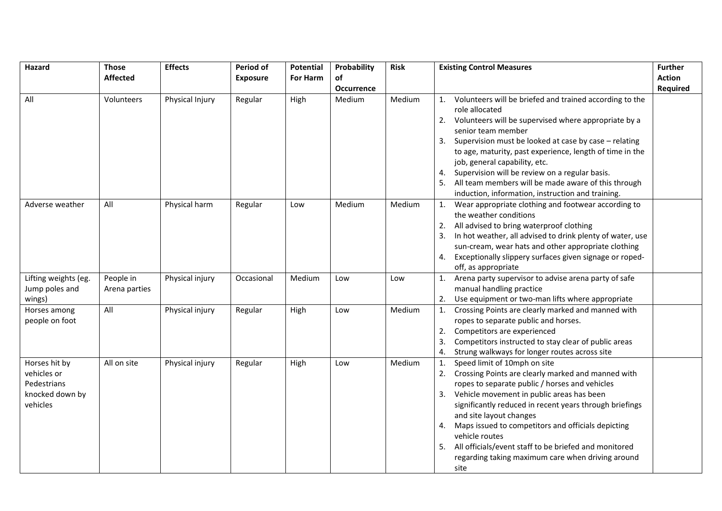| Hazard                                                                     | <b>Those</b>               | <b>Effects</b>  | Period of       | Potential | Probability       | <b>Risk</b> | <b>Existing Control Measures</b>                                                                                                                                                                                                                                                                                                                                                                                                                                                                    | <b>Further</b>  |
|----------------------------------------------------------------------------|----------------------------|-----------------|-----------------|-----------|-------------------|-------------|-----------------------------------------------------------------------------------------------------------------------------------------------------------------------------------------------------------------------------------------------------------------------------------------------------------------------------------------------------------------------------------------------------------------------------------------------------------------------------------------------------|-----------------|
|                                                                            | <b>Affected</b>            |                 | <b>Exposure</b> | For Harm  | of                |             |                                                                                                                                                                                                                                                                                                                                                                                                                                                                                                     | <b>Action</b>   |
|                                                                            |                            |                 |                 |           | <b>Occurrence</b> |             |                                                                                                                                                                                                                                                                                                                                                                                                                                                                                                     | <b>Required</b> |
| All                                                                        | Volunteers                 | Physical Injury | Regular         | High      | Medium            | Medium      | Volunteers will be briefed and trained according to the<br>1.<br>role allocated<br>Volunteers will be supervised where appropriate by a<br>2.<br>senior team member<br>Supervision must be looked at case by case - relating<br>3.<br>to age, maturity, past experience, length of time in the<br>job, general capability, etc.<br>Supervision will be review on a regular basis.<br>All team members will be made aware of this through<br>induction, information, instruction and training.       |                 |
| Adverse weather                                                            | All                        | Physical harm   | Regular         | Low       | Medium            | Medium      | Wear appropriate clothing and footwear according to<br>1.<br>the weather conditions<br>All advised to bring waterproof clothing<br>In hot weather, all advised to drink plenty of water, use<br>3.<br>sun-cream, wear hats and other appropriate clothing<br>Exceptionally slippery surfaces given signage or roped-<br>4.<br>off, as appropriate                                                                                                                                                   |                 |
| Lifting weights (eg.<br>Jump poles and<br>wings)                           | People in<br>Arena parties | Physical injury | Occasional      | Medium    | Low               | Low         | Arena party supervisor to advise arena party of safe<br>1.<br>manual handling practice<br>Use equipment or two-man lifts where appropriate<br>2.                                                                                                                                                                                                                                                                                                                                                    |                 |
| Horses among<br>people on foot                                             | All                        | Physical injury | Regular         | High      | Low               | Medium      | Crossing Points are clearly marked and manned with<br>1.<br>ropes to separate public and horses.<br>Competitors are experienced<br>2.<br>Competitors instructed to stay clear of public areas<br>3.<br>Strung walkways for longer routes across site<br>4.                                                                                                                                                                                                                                          |                 |
| Horses hit by<br>vehicles or<br>Pedestrians<br>knocked down by<br>vehicles | All on site                | Physical injury | Regular         | High      | Low               | Medium      | Speed limit of 10mph on site<br>1.<br>Crossing Points are clearly marked and manned with<br>2.<br>ropes to separate public / horses and vehicles<br>Vehicle movement in public areas has been<br>3.<br>significantly reduced in recent years through briefings<br>and site layout changes<br>Maps issued to competitors and officials depicting<br>4.<br>vehicle routes<br>All officials/event staff to be briefed and monitored<br>5.<br>regarding taking maximum care when driving around<br>site |                 |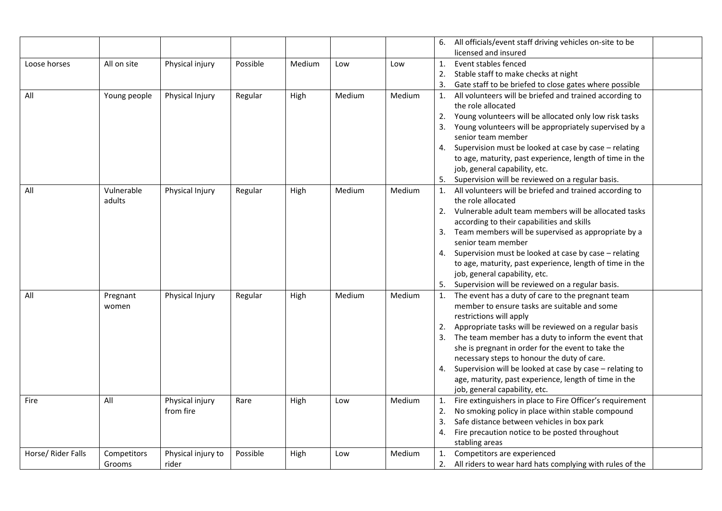|                    |              |                             |          |        |        |        |    | 6. All officials/event staff driving vehicles on-site to be                                     |  |
|--------------------|--------------|-----------------------------|----------|--------|--------|--------|----|-------------------------------------------------------------------------------------------------|--|
|                    |              |                             |          |        |        |        |    | licensed and insured                                                                            |  |
| Loose horses       | All on site  | Physical injury             | Possible | Medium | Low    | Low    | 1. | Event stables fenced                                                                            |  |
|                    |              |                             |          |        |        |        | 2. | Stable staff to make checks at night                                                            |  |
|                    |              |                             |          |        |        |        | 3. | Gate staff to be briefed to close gates where possible                                          |  |
| All                | Young people | Physical Injury             | Regular  | High   | Medium | Medium | 1. | All volunteers will be briefed and trained according to                                         |  |
|                    |              |                             |          |        |        |        |    | the role allocated                                                                              |  |
|                    |              |                             |          |        |        |        | 2. | Young volunteers will be allocated only low risk tasks                                          |  |
|                    |              |                             |          |        |        |        | 3. | Young volunteers will be appropriately supervised by a                                          |  |
|                    |              |                             |          |        |        |        |    | senior team member                                                                              |  |
|                    |              |                             |          |        |        |        | 4. | Supervision must be looked at case by case - relating                                           |  |
|                    |              |                             |          |        |        |        |    | to age, maturity, past experience, length of time in the                                        |  |
|                    |              |                             |          |        |        |        |    | job, general capability, etc.                                                                   |  |
|                    |              |                             |          |        |        |        |    | Supervision will be reviewed on a regular basis.                                                |  |
| All                | Vulnerable   | Physical Injury             | Regular  | High   | Medium | Medium | 1. | All volunteers will be briefed and trained according to                                         |  |
|                    | adults       |                             |          |        |        |        |    | the role allocated                                                                              |  |
|                    |              |                             |          |        |        |        | 2. | Vulnerable adult team members will be allocated tasks                                           |  |
|                    |              |                             |          |        |        |        |    | according to their capabilities and skills                                                      |  |
|                    |              |                             |          |        |        |        | 3. | Team members will be supervised as appropriate by a                                             |  |
|                    |              |                             |          |        |        |        |    | senior team member                                                                              |  |
|                    |              |                             |          |        |        |        | 4. | Supervision must be looked at case by case - relating                                           |  |
|                    |              |                             |          |        |        |        |    | to age, maturity, past experience, length of time in the                                        |  |
|                    |              |                             |          |        |        |        |    | job, general capability, etc.                                                                   |  |
|                    |              |                             |          |        |        |        |    | Supervision will be reviewed on a regular basis.                                                |  |
| All                | Pregnant     | Physical Injury             | Regular  | High   | Medium | Medium | 1. | The event has a duty of care to the pregnant team                                               |  |
|                    | women        |                             |          |        |        |        |    | member to ensure tasks are suitable and some                                                    |  |
|                    |              |                             |          |        |        |        |    | restrictions will apply                                                                         |  |
|                    |              |                             |          |        |        |        |    | Appropriate tasks will be reviewed on a regular basis                                           |  |
|                    |              |                             |          |        |        |        | 3. | The team member has a duty to inform the event that                                             |  |
|                    |              |                             |          |        |        |        |    | she is pregnant in order for the event to take the                                              |  |
|                    |              |                             |          |        |        |        |    | necessary steps to honour the duty of care.                                                     |  |
|                    |              |                             |          |        |        |        | 4. | Supervision will be looked at case by case - relating to                                        |  |
|                    |              |                             |          |        |        |        |    | age, maturity, past experience, length of time in the                                           |  |
| Fire               | All          |                             |          |        |        | Medium |    | job, general capability, etc.                                                                   |  |
|                    |              | Physical injury             | Rare     | High   | Low    |        | 1. | Fire extinguishers in place to Fire Officer's requirement                                       |  |
|                    |              | from fire                   |          |        |        |        | 2. | No smoking policy in place within stable compound<br>Safe distance between vehicles in box park |  |
|                    |              |                             |          |        |        |        | 3. |                                                                                                 |  |
|                    |              |                             |          |        |        |        | 4. | Fire precaution notice to be posted throughout<br>stabling areas                                |  |
|                    |              |                             |          |        |        |        |    |                                                                                                 |  |
| Horse/ Rider Falls | Competitors  | Physical injury to<br>rider | Possible | High   | Low    | Medium | 1. | Competitors are experienced<br>2. All riders to wear hard hats complying with rules of the      |  |
|                    | Grooms       |                             |          |        |        |        |    |                                                                                                 |  |